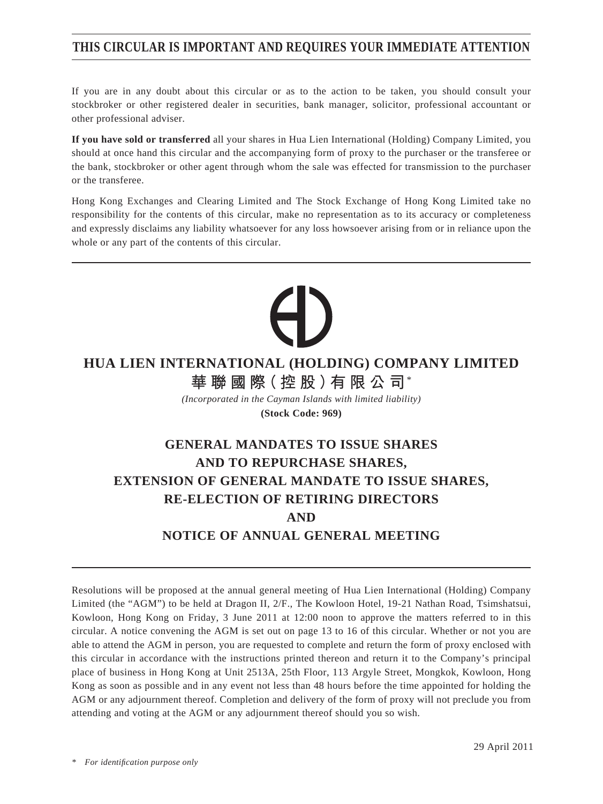# **THIS CIRCULAR IS IMPORTANT AND REQUIRES YOUR IMMEDIATE ATTENTION**

If you are in any doubt about this circular or as to the action to be taken, you should consult your stockbroker or other registered dealer in securities, bank manager, solicitor, professional accountant or other professional adviser.

**If you have sold or transferred** all your shares in Hua Lien International (Holding) Company Limited, you should at once hand this circular and the accompanying form of proxy to the purchaser or the transferee or the bank, stockbroker or other agent through whom the sale was effected for transmission to the purchaser or the transferee.

Hong Kong Exchanges and Clearing Limited and The Stock Exchange of Hong Kong Limited take no responsibility for the contents of this circular, make no representation as to its accuracy or completeness and expressly disclaims any liability whatsoever for any loss howsoever arising from or in reliance upon the whole or any part of the contents of this circular.

# **HUA LIEN INTERNATIONAL (HOLDING) COMPANY LIMITED 華聯國際(控股)有限公司**\*

*(Incorporated in the Cayman Islands with limited liability)* **(Stock Code: 969)**

# **GENERAL MANDATES TO ISSUE SHARES AND TO REPURCHASE SHARES, EXTENSION OF GENERAL MANDATE TO ISSUE SHARES, RE-ELECTION OF RETIRING DIRECTORS AND NOTICE OF ANNUAL GENERAL MEETING**

Resolutions will be proposed at the annual general meeting of Hua Lien International (Holding) Company Limited (the "AGM") to be held at Dragon II, 2/F., The Kowloon Hotel, 19-21 Nathan Road, Tsimshatsui, Kowloon, Hong Kong on Friday, 3 June 2011 at 12:00 noon to approve the matters referred to in this circular. A notice convening the AGM is set out on page 13 to 16 of this circular. Whether or not you are able to attend the AGM in person, you are requested to complete and return the form of proxy enclosed with this circular in accordance with the instructions printed thereon and return it to the Company's principal place of business in Hong Kong at Unit 2513A, 25th Floor, 113 Argyle Street, Mongkok, Kowloon, Hong Kong as soon as possible and in any event not less than 48 hours before the time appointed for holding the AGM or any adjournment thereof. Completion and delivery of the form of proxy will not preclude you from attending and voting at the AGM or any adjournment thereof should you so wish.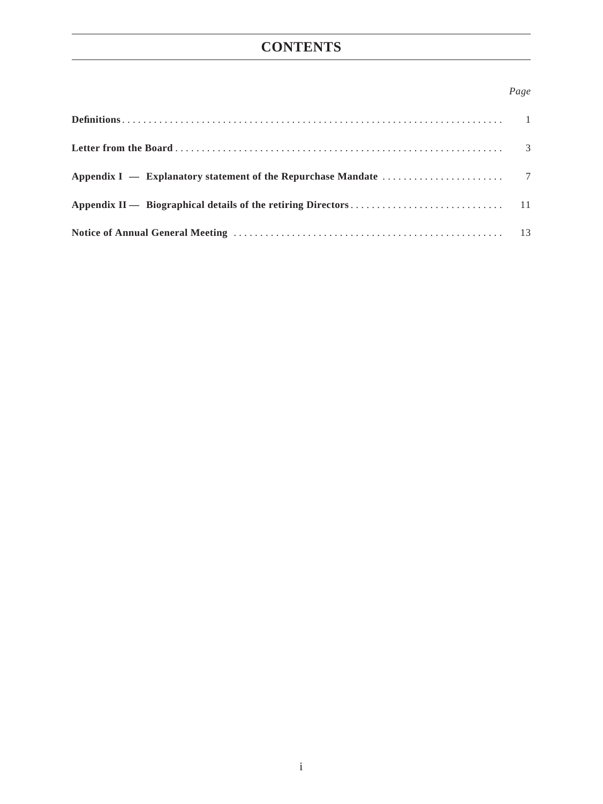# **CONTENTS**

## *Page*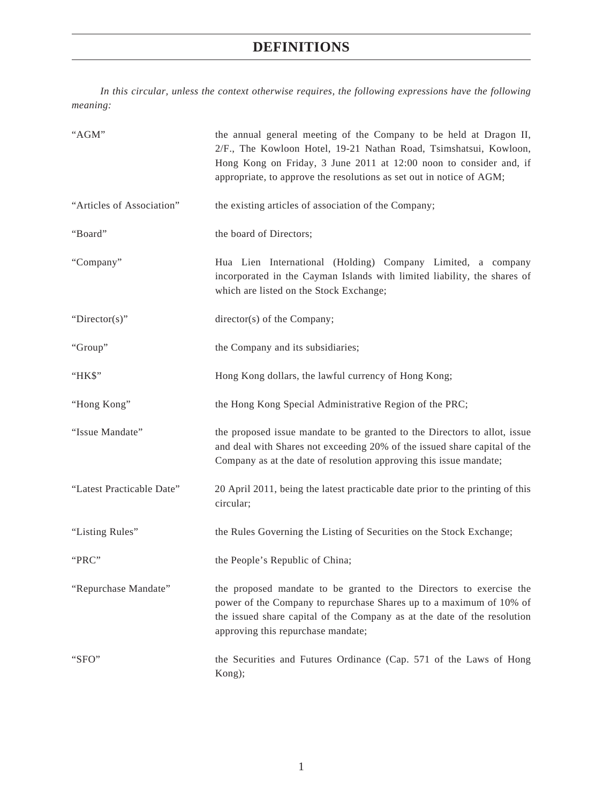# **DEFINITIONS**

*In this circular, unless the context otherwise requires, the following expressions have the following meaning:*

| "AGM"                     | the annual general meeting of the Company to be held at Dragon II,<br>2/F., The Kowloon Hotel, 19-21 Nathan Road, Tsimshatsui, Kowloon,<br>Hong Kong on Friday, 3 June 2011 at 12:00 noon to consider and, if<br>appropriate, to approve the resolutions as set out in notice of AGM; |
|---------------------------|---------------------------------------------------------------------------------------------------------------------------------------------------------------------------------------------------------------------------------------------------------------------------------------|
| "Articles of Association" | the existing articles of association of the Company;                                                                                                                                                                                                                                  |
| "Board"                   | the board of Directors;                                                                                                                                                                                                                                                               |
| "Company"                 | Hua Lien International (Holding) Company Limited, a company<br>incorporated in the Cayman Islands with limited liability, the shares of<br>which are listed on the Stock Exchange;                                                                                                    |
| "Director(s)"             | director(s) of the Company;                                                                                                                                                                                                                                                           |
| "Group"                   | the Company and its subsidiaries;                                                                                                                                                                                                                                                     |
| "HK\$"                    | Hong Kong dollars, the lawful currency of Hong Kong;                                                                                                                                                                                                                                  |
| "Hong Kong"               | the Hong Kong Special Administrative Region of the PRC;                                                                                                                                                                                                                               |
| "Issue Mandate"           | the proposed issue mandate to be granted to the Directors to allot, issue<br>and deal with Shares not exceeding 20% of the issued share capital of the<br>Company as at the date of resolution approving this issue mandate;                                                          |
| "Latest Practicable Date" | 20 April 2011, being the latest practicable date prior to the printing of this<br>circular;                                                                                                                                                                                           |
| "Listing Rules"           | the Rules Governing the Listing of Securities on the Stock Exchange;                                                                                                                                                                                                                  |
| "PRC"                     | the People's Republic of China;                                                                                                                                                                                                                                                       |
| "Repurchase Mandate"      | the proposed mandate to be granted to the Directors to exercise the<br>power of the Company to repurchase Shares up to a maximum of 10% of<br>the issued share capital of the Company as at the date of the resolution<br>approving this repurchase mandate;                          |
| "SFO"                     | the Securities and Futures Ordinance (Cap. 571 of the Laws of Hong<br>Kong);                                                                                                                                                                                                          |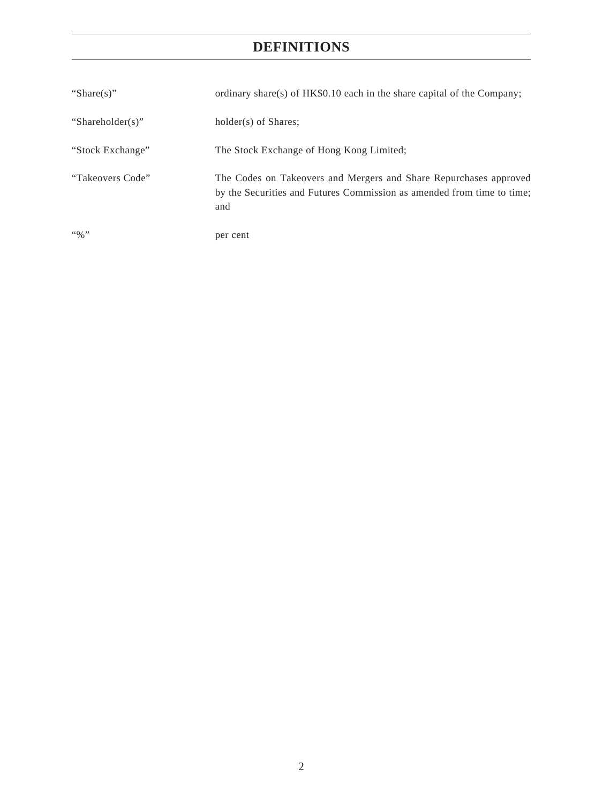# **DEFINITIONS**

| "Share(s)"                       | ordinary share(s) of HK\$0.10 each in the share capital of the Company;                                                                            |
|----------------------------------|----------------------------------------------------------------------------------------------------------------------------------------------------|
| "Shareholder(s)"                 | holder(s) of Shares;                                                                                                                               |
| "Stock Exchange"                 | The Stock Exchange of Hong Kong Limited;                                                                                                           |
| "Takeovers Code"                 | The Codes on Takeovers and Mergers and Share Repurchases approved<br>by the Securities and Futures Commission as amended from time to time;<br>and |
| $\lq\lq\lq\lq\lq\lq\lq\lq\lq\lq$ | per cent                                                                                                                                           |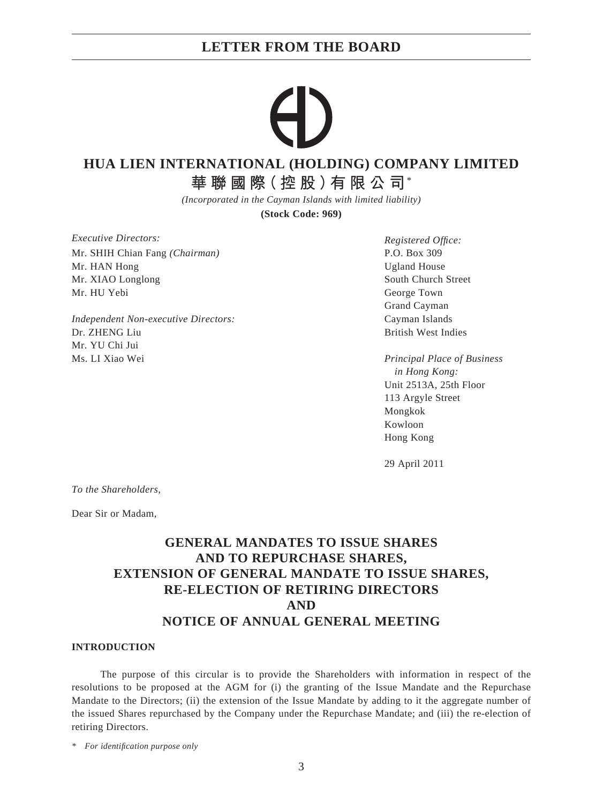## **HUA LIEN INTERNATIONAL (HOLDING) COMPANY LIMITED**

**華聯國際(控股)有限公司**\*

*(Incorporated in the Cayman Islands with limited liability)*

**(Stock Code: 969)**

*Executive Directors:* Mr. SHIH Chian Fang *(Chairman)* Mr. HAN Hong Mr. XIAO Longlong Mr. HU Yebi

*Independent Non-executive Directors:* Dr. ZHENG Liu Mr. YU Chi Jui Ms. LI Xiao Wei

*Registered Offi ce:* P.O. Box 309 Ugland House South Church Street George Town Grand Cayman Cayman Islands British West Indies

*Principal Place of Business in Hong Kong:* Unit 2513A, 25th Floor 113 Argyle Street Mongkok Kowloon Hong Kong

29 April 2011

*To the Shareholders,*

Dear Sir or Madam,

# **GENERAL MANDATES TO ISSUE SHARES AND TO REPURCHASE SHARES, EXTENSION OF GENERAL MANDATE TO ISSUE SHARES, RE-ELECTION OF RETIRING DIRECTORS AND NOTICE OF ANNUAL GENERAL MEETING**

#### **INTRODUCTION**

The purpose of this circular is to provide the Shareholders with information in respect of the resolutions to be proposed at the AGM for (i) the granting of the Issue Mandate and the Repurchase Mandate to the Directors; (ii) the extension of the Issue Mandate by adding to it the aggregate number of the issued Shares repurchased by the Company under the Repurchase Mandate; and (iii) the re-election of retiring Directors.

*\* For identifi cation purpose only*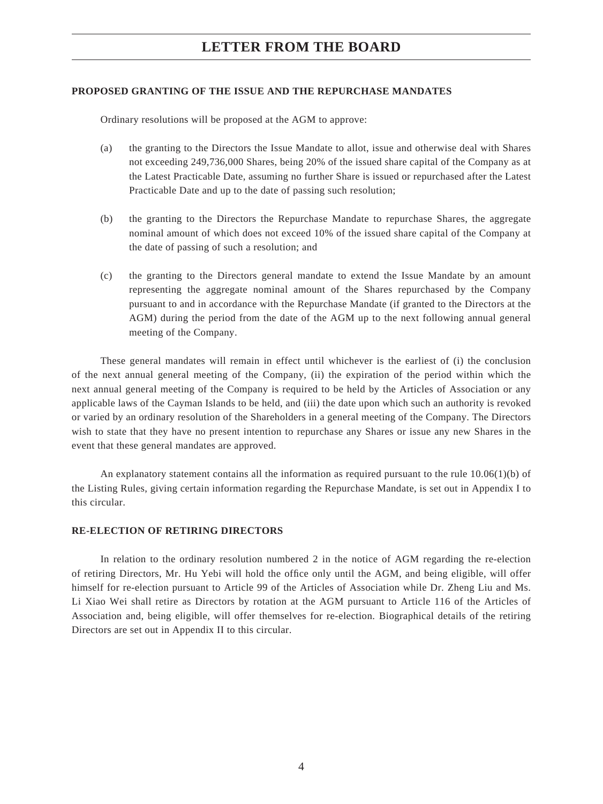#### **PROPOSED GRANTING OF THE ISSUE AND THE REPURCHASE MANDATES**

Ordinary resolutions will be proposed at the AGM to approve:

- (a) the granting to the Directors the Issue Mandate to allot, issue and otherwise deal with Shares not exceeding 249,736,000 Shares, being 20% of the issued share capital of the Company as at the Latest Practicable Date, assuming no further Share is issued or repurchased after the Latest Practicable Date and up to the date of passing such resolution;
- (b) the granting to the Directors the Repurchase Mandate to repurchase Shares, the aggregate nominal amount of which does not exceed 10% of the issued share capital of the Company at the date of passing of such a resolution; and
- (c) the granting to the Directors general mandate to extend the Issue Mandate by an amount representing the aggregate nominal amount of the Shares repurchased by the Company pursuant to and in accordance with the Repurchase Mandate (if granted to the Directors at the AGM) during the period from the date of the AGM up to the next following annual general meeting of the Company.

These general mandates will remain in effect until whichever is the earliest of (i) the conclusion of the next annual general meeting of the Company, (ii) the expiration of the period within which the next annual general meeting of the Company is required to be held by the Articles of Association or any applicable laws of the Cayman Islands to be held, and (iii) the date upon which such an authority is revoked or varied by an ordinary resolution of the Shareholders in a general meeting of the Company. The Directors wish to state that they have no present intention to repurchase any Shares or issue any new Shares in the event that these general mandates are approved.

An explanatory statement contains all the information as required pursuant to the rule 10.06(1)(b) of the Listing Rules, giving certain information regarding the Repurchase Mandate, is set out in Appendix I to this circular.

#### **RE-ELECTION OF RETIRING DIRECTORS**

In relation to the ordinary resolution numbered 2 in the notice of AGM regarding the re-election of retiring Directors, Mr. Hu Yebi will hold the office only until the AGM, and being eligible, will offer himself for re-election pursuant to Article 99 of the Articles of Association while Dr. Zheng Liu and Ms. Li Xiao Wei shall retire as Directors by rotation at the AGM pursuant to Article 116 of the Articles of Association and, being eligible, will offer themselves for re-election. Biographical details of the retiring Directors are set out in Appendix II to this circular.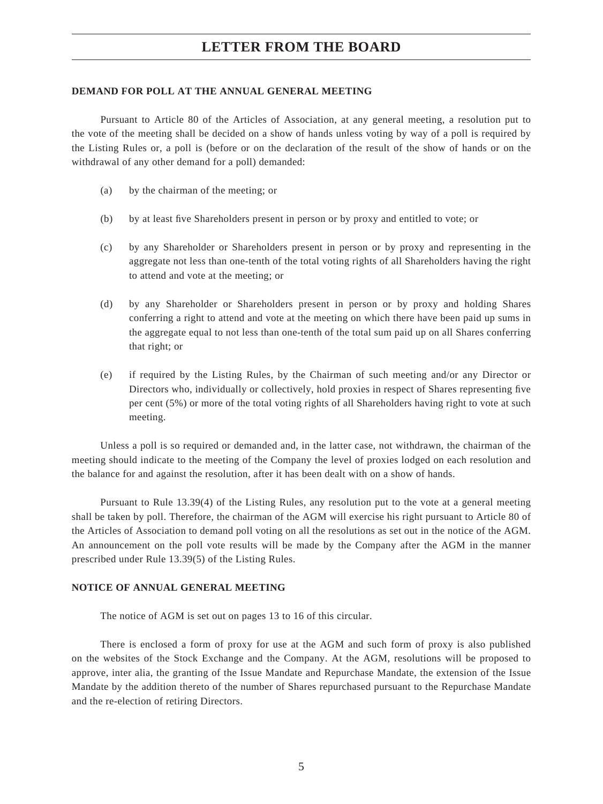#### **DEMAND FOR POLL AT THE ANNUAL GENERAL MEETING**

Pursuant to Article 80 of the Articles of Association, at any general meeting, a resolution put to the vote of the meeting shall be decided on a show of hands unless voting by way of a poll is required by the Listing Rules or, a poll is (before or on the declaration of the result of the show of hands or on the withdrawal of any other demand for a poll) demanded:

- (a) by the chairman of the meeting; or
- (b) by at least five Shareholders present in person or by proxy and entitled to vote; or
- (c) by any Shareholder or Shareholders present in person or by proxy and representing in the aggregate not less than one-tenth of the total voting rights of all Shareholders having the right to attend and vote at the meeting; or
- (d) by any Shareholder or Shareholders present in person or by proxy and holding Shares conferring a right to attend and vote at the meeting on which there have been paid up sums in the aggregate equal to not less than one-tenth of the total sum paid up on all Shares conferring that right; or
- (e) if required by the Listing Rules, by the Chairman of such meeting and/or any Director or Directors who, individually or collectively, hold proxies in respect of Shares representing five per cent (5%) or more of the total voting rights of all Shareholders having right to vote at such meeting.

Unless a poll is so required or demanded and, in the latter case, not withdrawn, the chairman of the meeting should indicate to the meeting of the Company the level of proxies lodged on each resolution and the balance for and against the resolution, after it has been dealt with on a show of hands.

Pursuant to Rule 13.39(4) of the Listing Rules, any resolution put to the vote at a general meeting shall be taken by poll. Therefore, the chairman of the AGM will exercise his right pursuant to Article 80 of the Articles of Association to demand poll voting on all the resolutions as set out in the notice of the AGM. An announcement on the poll vote results will be made by the Company after the AGM in the manner prescribed under Rule 13.39(5) of the Listing Rules.

#### **NOTICE OF ANNUAL GENERAL MEETING**

The notice of AGM is set out on pages 13 to 16 of this circular.

There is enclosed a form of proxy for use at the AGM and such form of proxy is also published on the websites of the Stock Exchange and the Company. At the AGM, resolutions will be proposed to approve, inter alia, the granting of the Issue Mandate and Repurchase Mandate, the extension of the Issue Mandate by the addition thereto of the number of Shares repurchased pursuant to the Repurchase Mandate and the re-election of retiring Directors.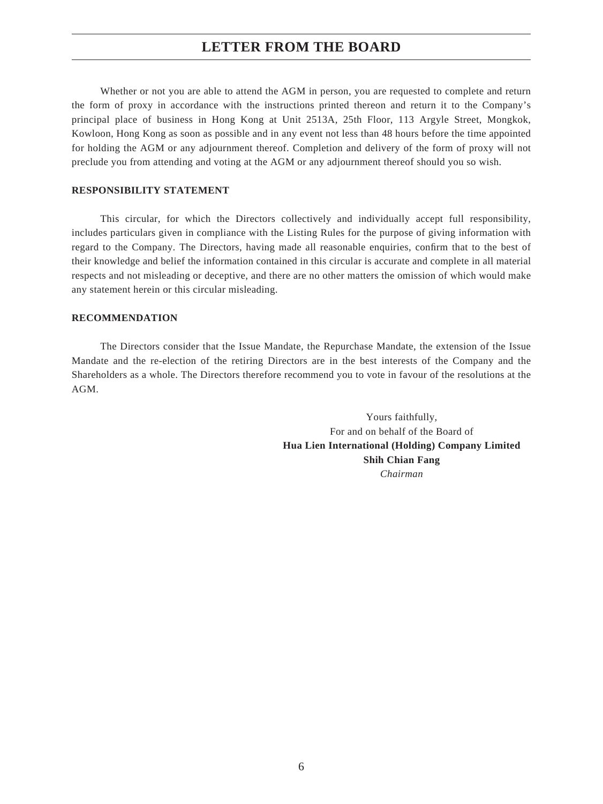Whether or not you are able to attend the AGM in person, you are requested to complete and return the form of proxy in accordance with the instructions printed thereon and return it to the Company's principal place of business in Hong Kong at Unit 2513A, 25th Floor, 113 Argyle Street, Mongkok, Kowloon, Hong Kong as soon as possible and in any event not less than 48 hours before the time appointed for holding the AGM or any adjournment thereof. Completion and delivery of the form of proxy will not preclude you from attending and voting at the AGM or any adjournment thereof should you so wish.

#### **RESPONSIBILITY STATEMENT**

This circular, for which the Directors collectively and individually accept full responsibility, includes particulars given in compliance with the Listing Rules for the purpose of giving information with regard to the Company. The Directors, having made all reasonable enquiries, confirm that to the best of their knowledge and belief the information contained in this circular is accurate and complete in all material respects and not misleading or deceptive, and there are no other matters the omission of which would make any statement herein or this circular misleading.

#### **RECOMMENDATION**

The Directors consider that the Issue Mandate, the Repurchase Mandate, the extension of the Issue Mandate and the re-election of the retiring Directors are in the best interests of the Company and the Shareholders as a whole. The Directors therefore recommend you to vote in favour of the resolutions at the AGM.

> Yours faithfully, For and on behalf of the Board of **Hua Lien International (Holding) Company Limited Shih Chian Fang** *Chairman*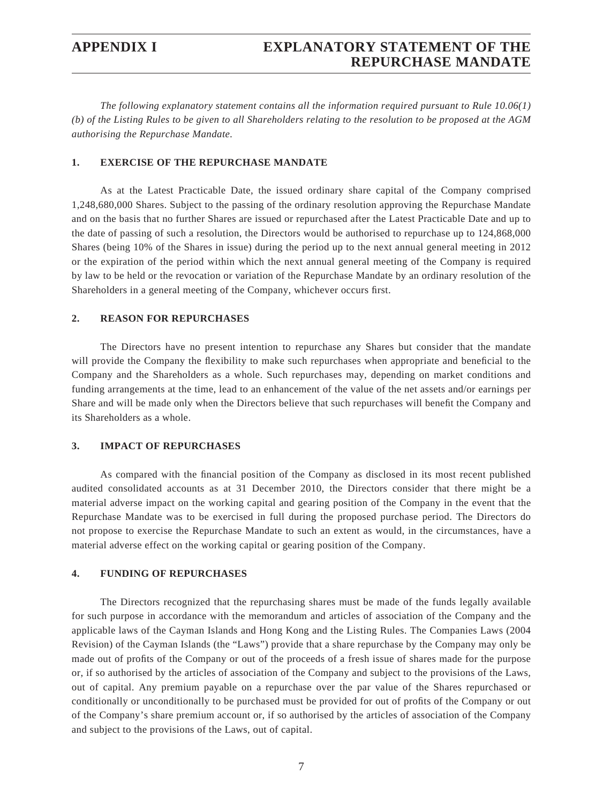*The following explanatory statement contains all the information required pursuant to Rule 10.06(1) (b) of the Listing Rules to be given to all Shareholders relating to the resolution to be proposed at the AGM authorising the Repurchase Mandate.*

#### **1. EXERCISE OF THE REPURCHASE MANDATE**

As at the Latest Practicable Date, the issued ordinary share capital of the Company comprised 1,248,680,000 Shares. Subject to the passing of the ordinary resolution approving the Repurchase Mandate and on the basis that no further Shares are issued or repurchased after the Latest Practicable Date and up to the date of passing of such a resolution, the Directors would be authorised to repurchase up to 124,868,000 Shares (being 10% of the Shares in issue) during the period up to the next annual general meeting in 2012 or the expiration of the period within which the next annual general meeting of the Company is required by law to be held or the revocation or variation of the Repurchase Mandate by an ordinary resolution of the Shareholders in a general meeting of the Company, whichever occurs first.

#### **2. REASON FOR REPURCHASES**

The Directors have no present intention to repurchase any Shares but consider that the mandate will provide the Company the flexibility to make such repurchases when appropriate and beneficial to the Company and the Shareholders as a whole. Such repurchases may, depending on market conditions and funding arrangements at the time, lead to an enhancement of the value of the net assets and/or earnings per Share and will be made only when the Directors believe that such repurchases will benefit the Company and its Shareholders as a whole.

#### **3. IMPACT OF REPURCHASES**

As compared with the financial position of the Company as disclosed in its most recent published audited consolidated accounts as at 31 December 2010, the Directors consider that there might be a material adverse impact on the working capital and gearing position of the Company in the event that the Repurchase Mandate was to be exercised in full during the proposed purchase period. The Directors do not propose to exercise the Repurchase Mandate to such an extent as would, in the circumstances, have a material adverse effect on the working capital or gearing position of the Company.

#### **4. FUNDING OF REPURCHASES**

The Directors recognized that the repurchasing shares must be made of the funds legally available for such purpose in accordance with the memorandum and articles of association of the Company and the applicable laws of the Cayman Islands and Hong Kong and the Listing Rules. The Companies Laws (2004 Revision) of the Cayman Islands (the "Laws") provide that a share repurchase by the Company may only be made out of profits of the Company or out of the proceeds of a fresh issue of shares made for the purpose or, if so authorised by the articles of association of the Company and subject to the provisions of the Laws, out of capital. Any premium payable on a repurchase over the par value of the Shares repurchased or conditionally or unconditionally to be purchased must be provided for out of profits of the Company or out of the Company's share premium account or, if so authorised by the articles of association of the Company and subject to the provisions of the Laws, out of capital.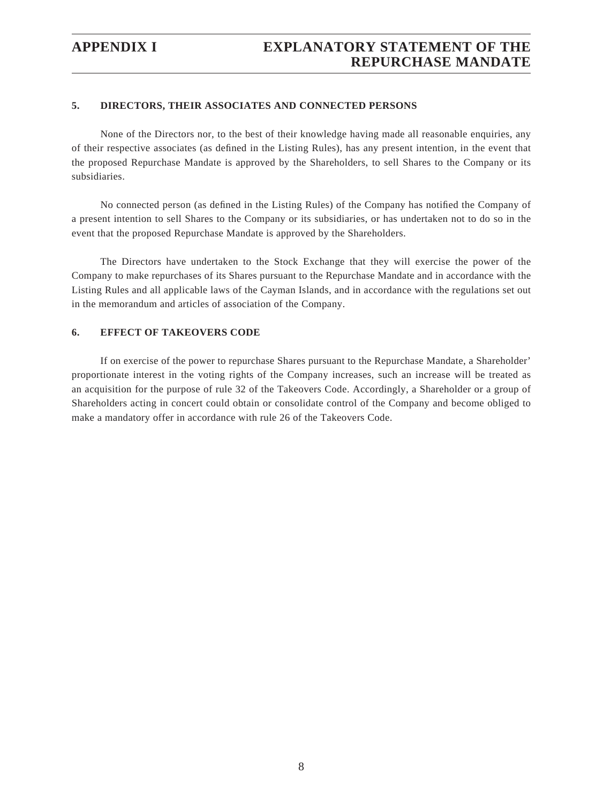### **5. DIRECTORS, THEIR ASSOCIATES AND CONNECTED PERSONS**

None of the Directors nor, to the best of their knowledge having made all reasonable enquiries, any of their respective associates (as defined in the Listing Rules), has any present intention, in the event that the proposed Repurchase Mandate is approved by the Shareholders, to sell Shares to the Company or its subsidiaries.

No connected person (as defined in the Listing Rules) of the Company has notified the Company of a present intention to sell Shares to the Company or its subsidiaries, or has undertaken not to do so in the event that the proposed Repurchase Mandate is approved by the Shareholders.

The Directors have undertaken to the Stock Exchange that they will exercise the power of the Company to make repurchases of its Shares pursuant to the Repurchase Mandate and in accordance with the Listing Rules and all applicable laws of the Cayman Islands, and in accordance with the regulations set out in the memorandum and articles of association of the Company.

#### **6. EFFECT OF TAKEOVERS CODE**

If on exercise of the power to repurchase Shares pursuant to the Repurchase Mandate, a Shareholder' proportionate interest in the voting rights of the Company increases, such an increase will be treated as an acquisition for the purpose of rule 32 of the Takeovers Code. Accordingly, a Shareholder or a group of Shareholders acting in concert could obtain or consolidate control of the Company and become obliged to make a mandatory offer in accordance with rule 26 of the Takeovers Code.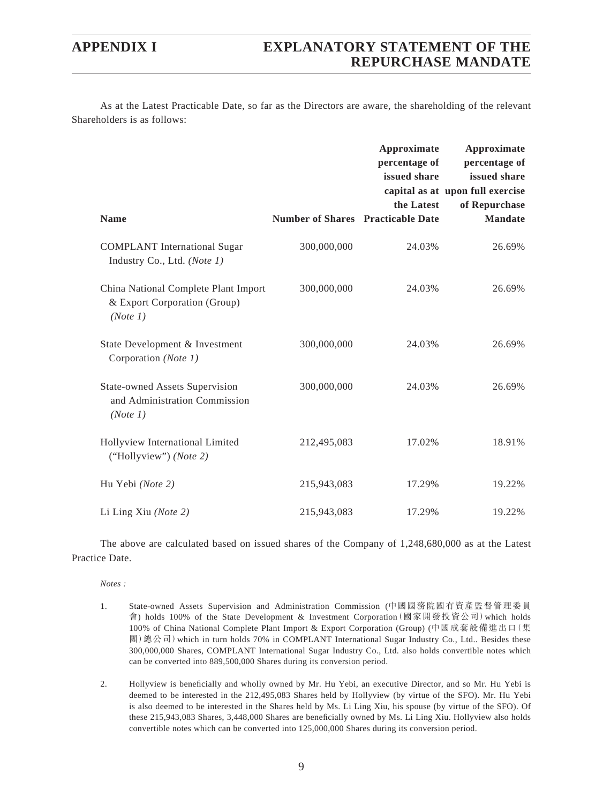As at the Latest Practicable Date, so far as the Directors are aware, the shareholding of the relevant Shareholders is as follows:

| <b>Name</b>                                                                        | <b>Number of Shares Practicable Date</b> | Approximate<br>percentage of<br>issued share<br>the Latest | <b>Approximate</b><br>percentage of<br>issued share<br>capital as at upon full exercise<br>of Repurchase<br><b>Mandate</b> |
|------------------------------------------------------------------------------------|------------------------------------------|------------------------------------------------------------|----------------------------------------------------------------------------------------------------------------------------|
| <b>COMPLANT</b> International Sugar<br>Industry Co., Ltd. (Note 1)                 | 300,000,000                              | 24.03%                                                     | 26.69%                                                                                                                     |
| China National Complete Plant Import<br>& Export Corporation (Group)<br>(Note 1)   | 300,000,000                              | 24.03%                                                     | 26.69%                                                                                                                     |
| State Development & Investment<br>Corporation (Note 1)                             | 300,000,000                              | 24.03%                                                     | 26.69%                                                                                                                     |
| <b>State-owned Assets Supervision</b><br>and Administration Commission<br>(Note 1) | 300,000,000                              | 24.03%                                                     | 26.69%                                                                                                                     |
| Hollyview International Limited<br>("Hollyview") (Note 2)                          | 212,495,083                              | 17.02%                                                     | 18.91%                                                                                                                     |
| Hu Yebi (Note 2)                                                                   | 215,943,083                              | 17.29%                                                     | 19.22%                                                                                                                     |
| Li Ling Xiu (Note 2)                                                               | 215,943,083                              | 17.29%                                                     | 19.22%                                                                                                                     |

The above are calculated based on issued shares of the Company of 1,248,680,000 as at the Latest Practice Date.

*Notes :*

- 1. State-owned Assets Supervision and Administration Commission (中國國務院國有資產監督管理委員 會) holds 100% of the State Development & Investment Corporation(國家開發投資公司)which holds 100% of China National Complete Plant Import & Export Corporation (Group) (中國成套設備進出口(集 團)總公司)which in turn holds 70% in COMPLANT International Sugar Industry Co., Ltd.. Besides these 300,000,000 Shares, COMPLANT International Sugar Industry Co., Ltd. also holds convertible notes which can be converted into 889,500,000 Shares during its conversion period.
- 2. Hollyview is beneficially and wholly owned by Mr. Hu Yebi, an executive Director, and so Mr. Hu Yebi is deemed to be interested in the 212,495,083 Shares held by Hollyview (by virtue of the SFO). Mr. Hu Yebi is also deemed to be interested in the Shares held by Ms. Li Ling Xiu, his spouse (by virtue of the SFO). Of these 215,943,083 Shares, 3,448,000 Shares are beneficially owned by Ms. Li Ling Xiu. Hollyview also holds convertible notes which can be converted into 125,000,000 Shares during its conversion period.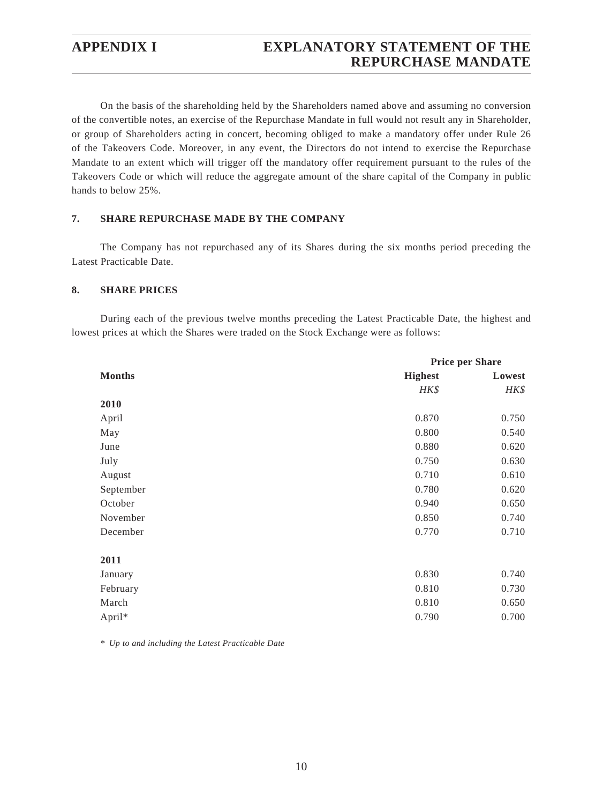## **APPENDIX I EXPLANATORY STATEMENT OF THE REPURCHASE MANDATE**

On the basis of the shareholding held by the Shareholders named above and assuming no conversion of the convertible notes, an exercise of the Repurchase Mandate in full would not result any in Shareholder, or group of Shareholders acting in concert, becoming obliged to make a mandatory offer under Rule 26 of the Takeovers Code. Moreover, in any event, the Directors do not intend to exercise the Repurchase Mandate to an extent which will trigger off the mandatory offer requirement pursuant to the rules of the Takeovers Code or which will reduce the aggregate amount of the share capital of the Company in public hands to below 25%.

### **7. SHARE REPURCHASE MADE BY THE COMPANY**

The Company has not repurchased any of its Shares during the six months period preceding the Latest Practicable Date.

#### **8. SHARE PRICES**

During each of the previous twelve months preceding the Latest Practicable Date, the highest and lowest prices at which the Shares were traded on the Stock Exchange were as follows:

|               | <b>Price per Share</b> |        |
|---------------|------------------------|--------|
| <b>Months</b> | <b>Highest</b>         | Lowest |
|               | HK\$                   | HK\$   |
| 2010          |                        |        |
| April         | 0.870                  | 0.750  |
| May           | 0.800                  | 0.540  |
| June          | 0.880                  | 0.620  |
| July          | 0.750                  | 0.630  |
| August        | 0.710                  | 0.610  |
| September     | 0.780                  | 0.620  |
| October       | 0.940                  | 0.650  |
| November      | 0.850                  | 0.740  |
| December      | 0.770                  | 0.710  |
| 2011          |                        |        |
| January       | 0.830                  | 0.740  |
| February      | 0.810                  | 0.730  |
| March         | 0.810                  | 0.650  |
| April*        | 0.790                  | 0.700  |

*\* Up to and including the Latest Practicable Date*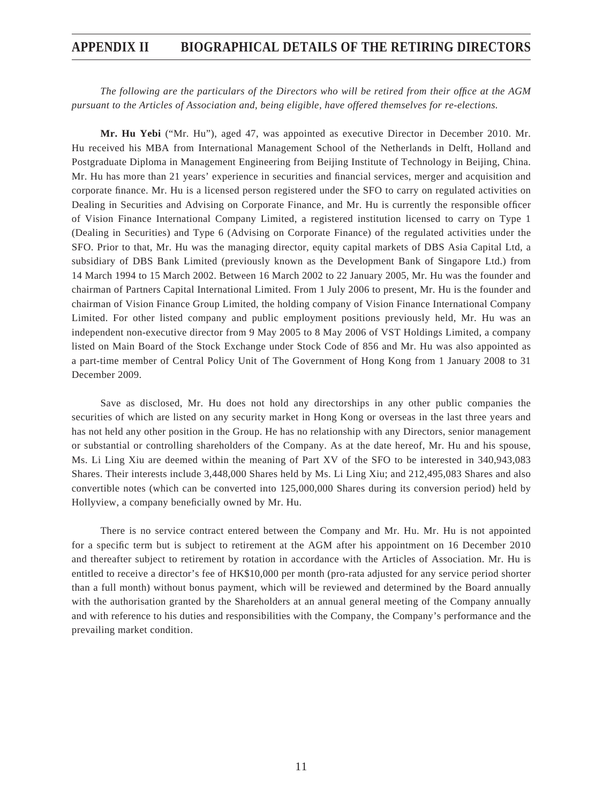## **APPENDIX II BIOGRAPHICAL DETAILS OF THE RETIRING DIRECTORS**

*The following are the particulars of the Directors who will be retired from their office at the AGM pursuant to the Articles of Association and, being eligible, have offered themselves for re-elections.*

**Mr. Hu Yebi** ("Mr. Hu"), aged 47, was appointed as executive Director in December 2010. Mr. Hu received his MBA from International Management School of the Netherlands in Delft, Holland and Postgraduate Diploma in Management Engineering from Beijing Institute of Technology in Beijing, China. Mr. Hu has more than 21 years' experience in securities and financial services, merger and acquisition and corporate finance. Mr. Hu is a licensed person registered under the SFO to carry on regulated activities on Dealing in Securities and Advising on Corporate Finance, and Mr. Hu is currently the responsible officer of Vision Finance International Company Limited, a registered institution licensed to carry on Type 1 (Dealing in Securities) and Type 6 (Advising on Corporate Finance) of the regulated activities under the SFO. Prior to that, Mr. Hu was the managing director, equity capital markets of DBS Asia Capital Ltd, a subsidiary of DBS Bank Limited (previously known as the Development Bank of Singapore Ltd.) from 14 March 1994 to 15 March 2002. Between 16 March 2002 to 22 January 2005, Mr. Hu was the founder and chairman of Partners Capital International Limited. From 1 July 2006 to present, Mr. Hu is the founder and chairman of Vision Finance Group Limited, the holding company of Vision Finance International Company Limited. For other listed company and public employment positions previously held, Mr. Hu was an independent non-executive director from 9 May 2005 to 8 May 2006 of VST Holdings Limited, a company listed on Main Board of the Stock Exchange under Stock Code of 856 and Mr. Hu was also appointed as a part-time member of Central Policy Unit of The Government of Hong Kong from 1 January 2008 to 31 December 2009.

Save as disclosed, Mr. Hu does not hold any directorships in any other public companies the securities of which are listed on any security market in Hong Kong or overseas in the last three years and has not held any other position in the Group. He has no relationship with any Directors, senior management or substantial or controlling shareholders of the Company. As at the date hereof, Mr. Hu and his spouse, Ms. Li Ling Xiu are deemed within the meaning of Part XV of the SFO to be interested in 340,943,083 Shares. Their interests include 3,448,000 Shares held by Ms. Li Ling Xiu; and 212,495,083 Shares and also convertible notes (which can be converted into 125,000,000 Shares during its conversion period) held by Hollyview, a company beneficially owned by Mr. Hu.

There is no service contract entered between the Company and Mr. Hu. Mr. Hu is not appointed for a specific term but is subject to retirement at the AGM after his appointment on 16 December 2010 and thereafter subject to retirement by rotation in accordance with the Articles of Association. Mr. Hu is entitled to receive a director's fee of HK\$10,000 per month (pro-rata adjusted for any service period shorter than a full month) without bonus payment, which will be reviewed and determined by the Board annually with the authorisation granted by the Shareholders at an annual general meeting of the Company annually and with reference to his duties and responsibilities with the Company, the Company's performance and the prevailing market condition.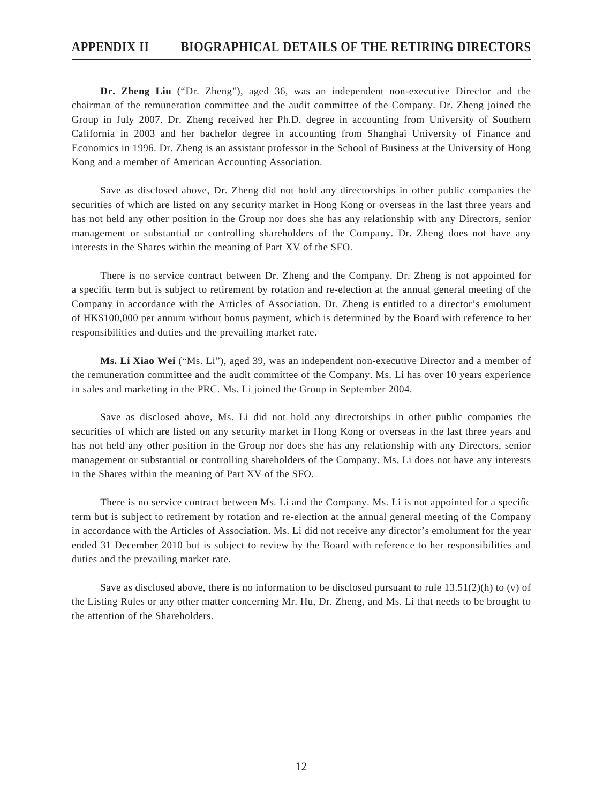## **APPENDIX II BIOGRAPHICAL DETAILS OF THE RETIRING DIRECTORS**

**Dr. Zheng Liu** ("Dr. Zheng"), aged 36, was an independent non-executive Director and the chairman of the remuneration committee and the audit committee of the Company. Dr. Zheng joined the Group in July 2007. Dr. Zheng received her Ph.D. degree in accounting from University of Southern California in 2003 and her bachelor degree in accounting from Shanghai University of Finance and Economics in 1996. Dr. Zheng is an assistant professor in the School of Business at the University of Hong Kong and a member of American Accounting Association.

Save as disclosed above, Dr. Zheng did not hold any directorships in other public companies the securities of which are listed on any security market in Hong Kong or overseas in the last three years and has not held any other position in the Group nor does she has any relationship with any Directors, senior management or substantial or controlling shareholders of the Company. Dr. Zheng does not have any interests in the Shares within the meaning of Part XV of the SFO.

There is no service contract between Dr. Zheng and the Company. Dr. Zheng is not appointed for a specific term but is subject to retirement by rotation and re-election at the annual general meeting of the Company in accordance with the Articles of Association. Dr. Zheng is entitled to a director's emolument of HK\$100,000 per annum without bonus payment, which is determined by the Board with reference to her responsibilities and duties and the prevailing market rate.

**Ms. Li Xiao Wei** ("Ms. Li"), aged 39, was an independent non-executive Director and a member of the remuneration committee and the audit committee of the Company. Ms. Li has over 10 years experience in sales and marketing in the PRC. Ms. Li joined the Group in September 2004.

Save as disclosed above, Ms. Li did not hold any directorships in other public companies the securities of which are listed on any security market in Hong Kong or overseas in the last three years and has not held any other position in the Group nor does she has any relationship with any Directors, senior management or substantial or controlling shareholders of the Company. Ms. Li does not have any interests in the Shares within the meaning of Part XV of the SFO.

There is no service contract between Ms. Li and the Company. Ms. Li is not appointed for a specific term but is subject to retirement by rotation and re-election at the annual general meeting of the Company in accordance with the Articles of Association. Ms. Li did not receive any director's emolument for the year ended 31 December 2010 but is subject to review by the Board with reference to her responsibilities and duties and the prevailing market rate.

Save as disclosed above, there is no information to be disclosed pursuant to rule  $13.51(2)(h)$  to (v) of the Listing Rules or any other matter concerning Mr. Hu, Dr. Zheng, and Ms. Li that needs to be brought to the attention of the Shareholders.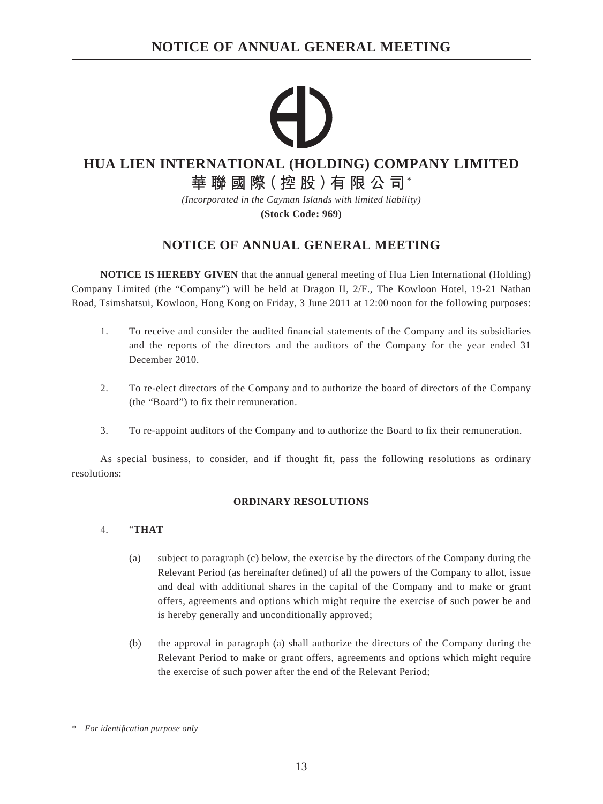# **NOTICE OF ANNUAL GENERAL MEETING**

## **HUA LIEN INTERNATIONAL (HOLDING) COMPANY LIMITED**

**華聯國際(控股)有限公司**\*

*(Incorporated in the Cayman Islands with limited liability)*

**(Stock Code: 969)**

# **NOTICE OF ANNUAL GENERAL MEETING**

**NOTICE IS HEREBY GIVEN** that the annual general meeting of Hua Lien International (Holding) Company Limited (the "Company") will be held at Dragon II, 2/F., The Kowloon Hotel, 19-21 Nathan Road, Tsimshatsui, Kowloon, Hong Kong on Friday, 3 June 2011 at 12:00 noon for the following purposes:

- 1. To receive and consider the audited financial statements of the Company and its subsidiaries and the reports of the directors and the auditors of the Company for the year ended 31 December 2010.
- 2. To re-elect directors of the Company and to authorize the board of directors of the Company (the "Board") to fix their remuneration.
- 3. To re-appoint auditors of the Company and to authorize the Board to fix their remuneration.

As special business, to consider, and if thought fit, pass the following resolutions as ordinary resolutions:

### **ORDINARY RESOLUTIONS**

### 4. "**THAT**

- (a) subject to paragraph (c) below, the exercise by the directors of the Company during the Relevant Period (as hereinafter defined) of all the powers of the Company to allot, issue and deal with additional shares in the capital of the Company and to make or grant offers, agreements and options which might require the exercise of such power be and is hereby generally and unconditionally approved;
- (b) the approval in paragraph (a) shall authorize the directors of the Company during the Relevant Period to make or grant offers, agreements and options which might require the exercise of such power after the end of the Relevant Period;

*<sup>\*</sup> For identifi cation purpose only*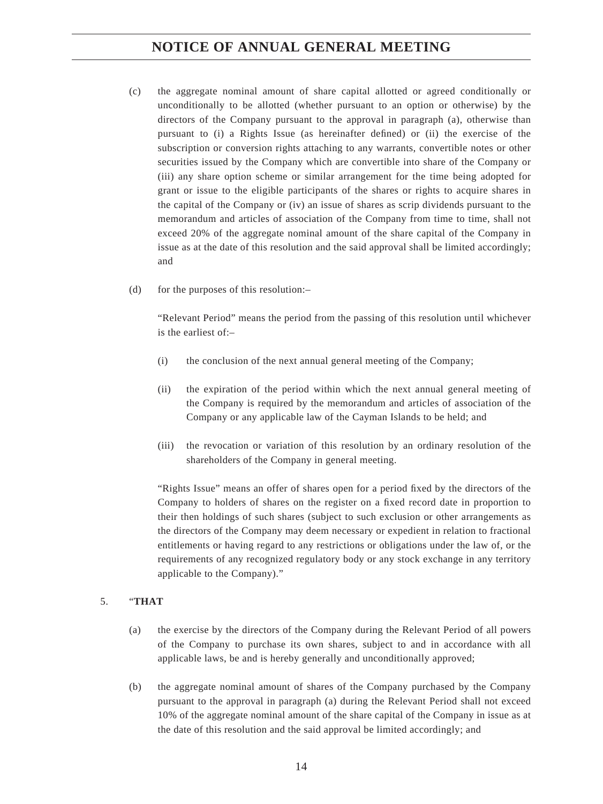- (c) the aggregate nominal amount of share capital allotted or agreed conditionally or unconditionally to be allotted (whether pursuant to an option or otherwise) by the directors of the Company pursuant to the approval in paragraph (a), otherwise than pursuant to  $(i)$  a Rights Issue (as hereinafter defined) or  $(ii)$  the exercise of the subscription or conversion rights attaching to any warrants, convertible notes or other securities issued by the Company which are convertible into share of the Company or (iii) any share option scheme or similar arrangement for the time being adopted for grant or issue to the eligible participants of the shares or rights to acquire shares in the capital of the Company or (iv) an issue of shares as scrip dividends pursuant to the memorandum and articles of association of the Company from time to time, shall not exceed 20% of the aggregate nominal amount of the share capital of the Company in issue as at the date of this resolution and the said approval shall be limited accordingly; and
- (d) for the purposes of this resolution:–

 "Relevant Period" means the period from the passing of this resolution until whichever is the earliest of:–

- (i) the conclusion of the next annual general meeting of the Company;
- (ii) the expiration of the period within which the next annual general meeting of the Company is required by the memorandum and articles of association of the Company or any applicable law of the Cayman Islands to be held; and
- (iii) the revocation or variation of this resolution by an ordinary resolution of the shareholders of the Company in general meeting.

"Rights Issue" means an offer of shares open for a period fixed by the directors of the Company to holders of shares on the register on a fixed record date in proportion to their then holdings of such shares (subject to such exclusion or other arrangements as the directors of the Company may deem necessary or expedient in relation to fractional entitlements or having regard to any restrictions or obligations under the law of, or the requirements of any recognized regulatory body or any stock exchange in any territory applicable to the Company)."

### 5. "**THAT**

- (a) the exercise by the directors of the Company during the Relevant Period of all powers of the Company to purchase its own shares, subject to and in accordance with all applicable laws, be and is hereby generally and unconditionally approved;
- (b) the aggregate nominal amount of shares of the Company purchased by the Company pursuant to the approval in paragraph (a) during the Relevant Period shall not exceed 10% of the aggregate nominal amount of the share capital of the Company in issue as at the date of this resolution and the said approval be limited accordingly; and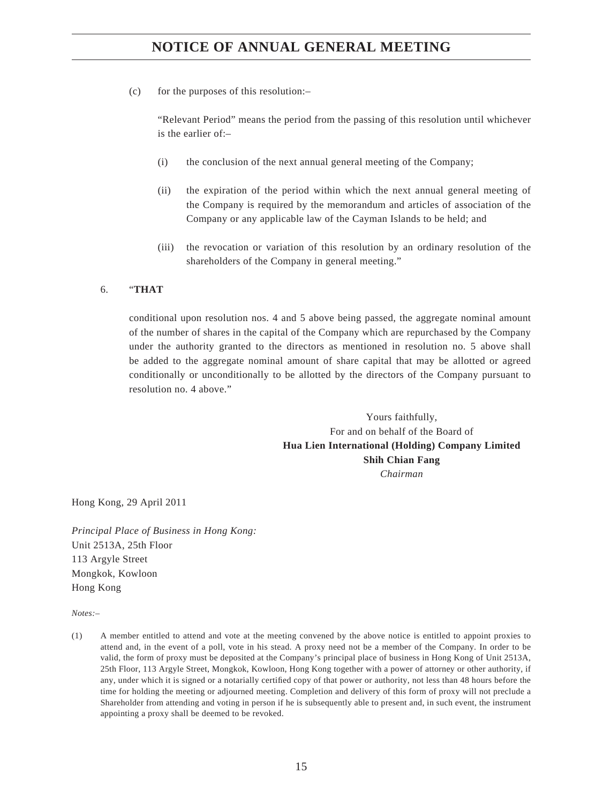## **NOTICE OF ANNUAL GENERAL MEETING**

(c) for the purposes of this resolution:–

 "Relevant Period" means the period from the passing of this resolution until whichever is the earlier of:–

- (i) the conclusion of the next annual general meeting of the Company;
- (ii) the expiration of the period within which the next annual general meeting of the Company is required by the memorandum and articles of association of the Company or any applicable law of the Cayman Islands to be held; and
- (iii) the revocation or variation of this resolution by an ordinary resolution of the shareholders of the Company in general meeting."

### 6. "**THAT**

conditional upon resolution nos. 4 and 5 above being passed, the aggregate nominal amount of the number of shares in the capital of the Company which are repurchased by the Company under the authority granted to the directors as mentioned in resolution no. 5 above shall be added to the aggregate nominal amount of share capital that may be allotted or agreed conditionally or unconditionally to be allotted by the directors of the Company pursuant to resolution no. 4 above."

> Yours faithfully, For and on behalf of the Board of **Hua Lien International (Holding) Company Limited Shih Chian Fang** *Chairman*

Hong Kong, 29 April 2011

*Principal Place of Business in Hong Kong:* Unit 2513A, 25th Floor 113 Argyle Street Mongkok, Kowloon Hong Kong

*Notes:–*

(1) A member entitled to attend and vote at the meeting convened by the above notice is entitled to appoint proxies to attend and, in the event of a poll, vote in his stead. A proxy need not be a member of the Company. In order to be valid, the form of proxy must be deposited at the Company's principal place of business in Hong Kong of Unit 2513A, 25th Floor, 113 Argyle Street, Mongkok, Kowloon, Hong Kong together with a power of attorney or other authority, if any, under which it is signed or a notarially certified copy of that power or authority, not less than 48 hours before the time for holding the meeting or adjourned meeting. Completion and delivery of this form of proxy will not preclude a Shareholder from attending and voting in person if he is subsequently able to present and, in such event, the instrument appointing a proxy shall be deemed to be revoked.